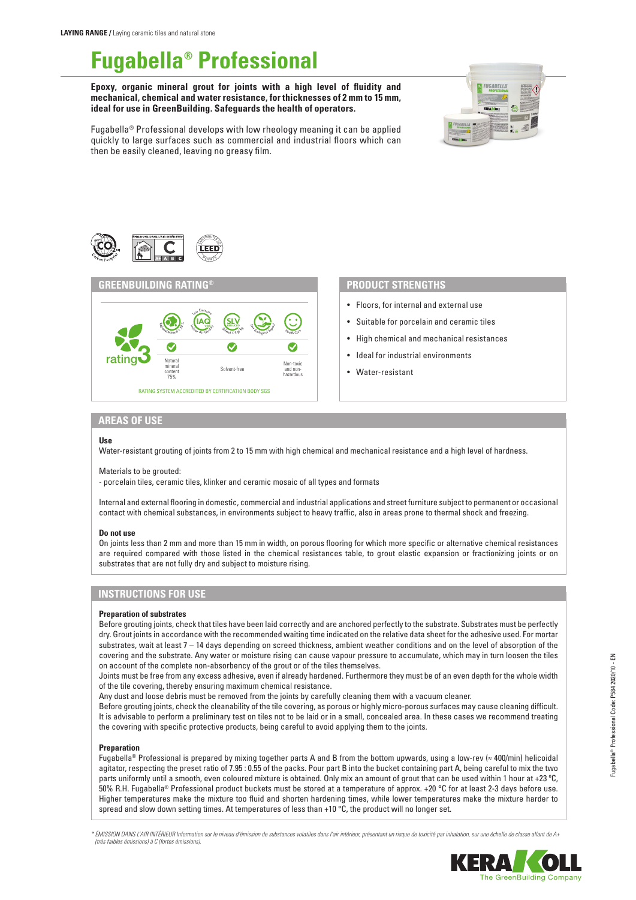# **Fugabella® Professional**

**Epoxy, organic mineral grout for joints with a high level of fluidity and mechanical, chemical and water resistance, for thicknesses of 2 mm to 15 mm, ideal for use in GreenBuilding. Safeguards the health of operators.**



Fugabella® Professional develops with low rheology meaning it can be applied quickly to large surfaces such as commercial and industrial floors which can then be easily cleaned, leaving no greasy film.





- Floors, for internal and external use
- Suitable for porcelain and ceramic tiles
- High chemical and mechanical resistances
- Ideal for industrial environments
- Water-resistant

# **AREAS OF USE**

# **Use**

Water-resistant grouting of joints from 2 to 15 mm with high chemical and mechanical resistance and a high level of hardness.

Materials to be grouted:

- porcelain tiles, ceramic tiles, klinker and ceramic mosaic of all types and formats

Internal and external flooring in domestic, commercial and industrial applications and street furniture subject to permanent or occasional contact with chemical substances, in environments subject to heavy traffic, also in areas prone to thermal shock and freezing.

# **Do not use**

On joints less than 2 mm and more than 15 mm in width, on porous flooring for which more specific or alternative chemical resistances are required compared with those listed in the chemical resistances table, to grout elastic expansion or fractionizing joints or on substrates that are not fully dry and subject to moisture rising.

# **INSTRUCTIONS FOR USE**

# **Preparation of substrates**

Before grouting joints, check that tiles have been laid correctly and are anchored perfectly to the substrate. Substrates must be perfectly dry. Grout joints in accordance with the recommended waiting time indicated on the relative data sheet for the adhesive used. For mortar substrates, wait at least 7 – 14 days depending on screed thickness, ambient weather conditions and on the level of absorption of the covering and the substrate. Any water or moisture rising can cause vapour pressure to accumulate, which may in turn loosen the tiles on account of the complete non-absorbency of the grout or of the tiles themselves.

Joints must be free from any excess adhesive, even if already hardened. Furthermore they must be of an even depth for the whole width of the tile covering, thereby ensuring maximum chemical resistance.

Any dust and loose debris must be removed from the joints by carefully cleaning them with a vacuum cleaner.

Before grouting joints, check the cleanability of the tile covering, as porous or highly micro-porous surfaces may cause cleaning difficult. It is advisable to perform a preliminary test on tiles not to be laid or in a small, concealed area. In these cases we recommend treating the covering with specific protective products, being careful to avoid applying them to the joints.

# **Preparation**

Fugabella® Professional is prepared by mixing together parts A and B from the bottom upwards, using a low-rev (≈ 400/min) helicoidal agitator, respecting the preset ratio of 7.95 : 0.55 of the packs. Pour part B into the bucket containing part A, being careful to mix the two parts uniformly until a smooth, even coloured mixture is obtained. Only mix an amount of grout that can be used within 1 hour at +23 ºC, 50% R.H. Fugabella® Professional product buckets must be stored at a temperature of approx. +20 °C for at least 2-3 days before use. Higher temperatures make the mixture too fluid and shorten hardening times, while lower temperatures make the mixture harder to spread and slow down setting times. At temperatures of less than +10 °C, the product will no longer set.

*\* ÉMISSION DANS L'AIR INTÉRIEUR Information sur le niveau d'émission de substances volatiles dans l'air intérieur, présentant un risque de toxicité par inhalation, sur une échelle de classe allant de A+ (très faibles émissions) à C (fortes émissions).*

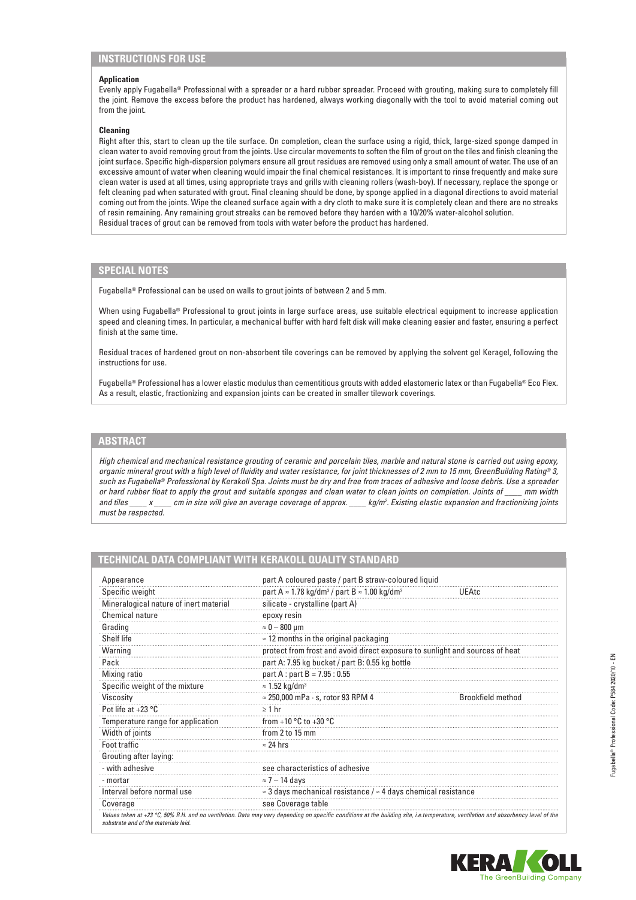# **INSTRUCTIONS FOR USE**

#### **Application**

Evenly apply Fugabella® Professional with a spreader or a hard rubber spreader. Proceed with grouting, making sure to completely fill the joint. Remove the excess before the product has hardened, always working diagonally with the tool to avoid material coming out from the joint.

#### **Cleaning**

Right after this, start to clean up the tile surface. On completion, clean the surface using a rigid, thick, large-sized sponge damped in clean water to avoid removing grout from the joints. Use circular movements to soften the film of grout on the tiles and finish cleaning the joint surface. Specific high-dispersion polymers ensure all grout residues are removed using only a small amount of water. The use of an excessive amount of water when cleaning would impair the final chemical resistances. It is important to rinse frequently and make sure clean water is used at all times, using appropriate trays and grills with cleaning rollers (wash-boy). If necessary, replace the sponge or felt cleaning pad when saturated with grout. Final cleaning should be done, by sponge applied in a diagonal directions to avoid material coming out from the joints. Wipe the cleaned surface again with a dry cloth to make sure it is completely clean and there are no streaks of resin remaining. Any remaining grout streaks can be removed before they harden with a 10/20% water-alcohol solution. Residual traces of grout can be removed from tools with water before the product has hardened.

# **SPECIAL NOTES**

Fugabella® Professional can be used on walls to grout joints of between 2 and 5 mm.

When using Fugabella<sup>®</sup> Professional to grout joints in large surface areas, use suitable electrical equipment to increase application speed and cleaning times. In particular, a mechanical buffer with hard felt disk will make cleaning easier and faster, ensuring a perfect finish at the same time.

Residual traces of hardened grout on non-absorbent tile coverings can be removed by applying the solvent gel Keragel, following the instructions for use.

Fugabella® Professional has a lower elastic modulus than cementitious grouts with added elastomeric latex or than Fugabella® Eco Flex. As a result, elastic, fractionizing and expansion joints can be created in smaller tilework coverings.

# **ABSTRACT**

*High chemical and mechanical resistance grouting of ceramic and porcelain tiles, marble and natural stone is carried out using epoxy, organic mineral grout with a high level of fluidity and water resistance, for joint thicknesses of 2 mm to 15 mm, GreenBuilding Rating® 3, such as Fugabella® Professional by Kerakoll Spa. Joints must be dry and free from traces of adhesive and loose debris. Use a spreader or hard rubber float to apply the grout and suitable sponges and clean water to clean joints on completion. Joints of \_\_\_\_ mm width and tiles \_\_\_\_ x \_\_\_\_ cm in size will give an average coverage of approx. \_\_\_\_ kg/m2 . Existing elastic expansion and fractionizing joints must be respected.*

# **TECHNICAL DATA COMPLIANT WITH KERAKOLL QUALITY STANDARD**

| Appearance                             | part A coloured paste / part B straw-coloured liquid                                         |  |  |
|----------------------------------------|----------------------------------------------------------------------------------------------|--|--|
| Specific weight                        | part A $\approx$ 1.78 kg/dm <sup>3</sup> / part B $\approx$ 1.00 kg/dm <sup>3</sup><br>UEAtc |  |  |
| Mineralogical nature of inert material | silicate - crystalline (part A)                                                              |  |  |
| <b>Chemical nature</b>                 | epoxy resin                                                                                  |  |  |
| Grading                                | $\approx 0-800$ µm                                                                           |  |  |
| Shelf life                             | $\approx$ 12 months in the original packaging                                                |  |  |
| Warning                                | protect from frost and avoid direct exposure to sunlight and sources of heat                 |  |  |
| Pack                                   | part A: 7.95 kg bucket / part B: 0.55 kg bottle                                              |  |  |
| Mixing ratio                           | part A : part B = $7.95 : 0.55$                                                              |  |  |
| Specific weight of the mixture         | $\approx$ 1.52 kg/dm <sup>3</sup>                                                            |  |  |
| Viscosity                              | $\approx$ 250,000 mPa $\cdot$ s, rotor 93 RPM 4<br><b>Brookfield method</b>                  |  |  |
| Pot life at +23 °C                     | $>1$ hr                                                                                      |  |  |
| Temperature range for application      | from +10 $\degree$ C to +30 $\degree$ C                                                      |  |  |
| Width of joints                        | from 2 to 15 mm                                                                              |  |  |
| Foot traffic                           | $\approx$ 24 hrs                                                                             |  |  |
| Grouting after laying:                 |                                                                                              |  |  |
| - with adhesive                        | see characteristics of adhesive                                                              |  |  |
| - mortar                               | $\approx$ 7 – 14 days                                                                        |  |  |
| Interval before normal use             | $\approx$ 3 days mechanical resistance / $\approx$ 4 days chemical resistance                |  |  |
| Coverage                               | see Coverage table                                                                           |  |  |

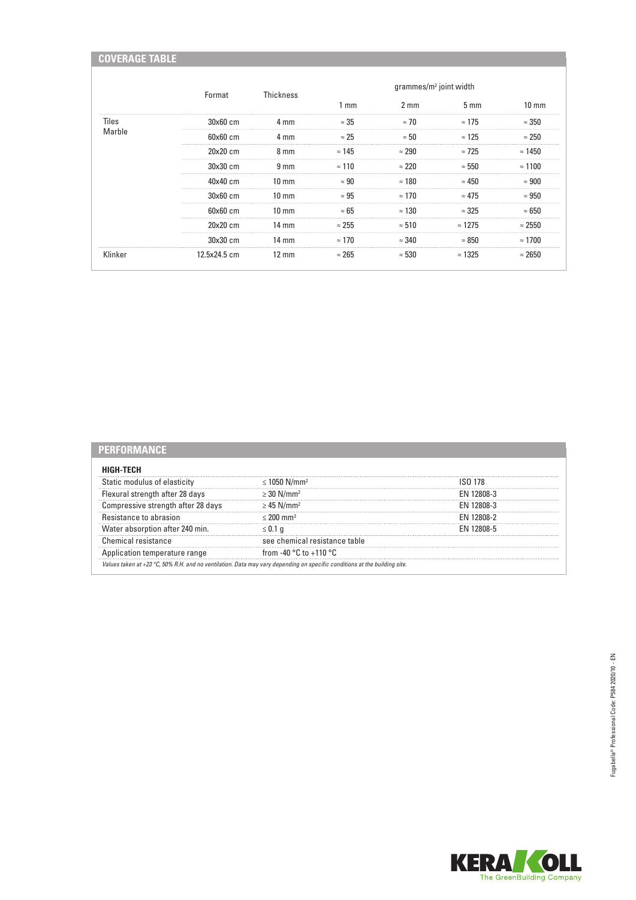| <b>COVERAGE TABLE</b> |                 |                  |                          |                  |                |                 |
|-----------------------|-----------------|------------------|--------------------------|------------------|----------------|-----------------|
|                       | Format          | <b>Thickness</b> | $grammes/m2$ joint width |                  |                |                 |
|                       |                 |                  | $1 \text{ mm}$           | $2 \, \text{mm}$ | $5 \text{ mm}$ | $10 \text{ mm}$ |
| <b>Tiles</b>          | $30\times60$ cm | 4 mm             | $\approx 35$             | $\approx$ 70     | $\approx$ 175  | $\approx 350$   |
| Marble                | $60x60$ cm      | 4 mm             | $\approx 25$             | $\approx 50$     | $\approx$ 125  | $\approx 250$   |
|                       | 20x20 cm        | 8 mm             | $\approx$ 145            | $\approx 290$    | $\approx$ 725  | $\approx$ 1450  |
|                       | 30x30 cm        | 9 <sub>mm</sub>  | $\approx$ 110            | $\approx 220$    | $\approx 550$  | $\approx$ 1100  |
|                       | 40x40 cm        | $10 \text{ mm}$  | $\approx 90$             | $\approx$ 180    | $\approx 450$  | $\approx 900$   |
|                       | 30x60 cm        | $10 \text{ mm}$  | $\approx 95$             | $\approx$ 170    | $\approx 475$  | $\approx 950$   |
|                       | $60x60$ cm      | $10 \text{ mm}$  | $\approx 65$             | $\approx$ 130    | $\approx 325$  | $\approx 650$   |
|                       | 20x20 cm        | $14 \text{ mm}$  | $\approx 255$            | $\approx 510$    | $\approx$ 1275 | $\approx 2550$  |
|                       | 30x30 cm        | $14 \text{ mm}$  | $\approx 170$            | $\approx 340$    | $\approx 850$  | $\approx$ 1700  |
| Klinker               | 12.5x24.5 cm    | $12 \text{ mm}$  | $\approx 265$            | $\approx 530$    | $\approx$ 1325 | $\approx 2650$  |

| <b>HIGH-TECH</b>                   |                                                                                                                                    |                   |
|------------------------------------|------------------------------------------------------------------------------------------------------------------------------------|-------------------|
| Static modulus of elasticity       | $< 1050$ N/mm <sup>2</sup>                                                                                                         |                   |
| Flexural strength after 28 days    | $\geq$ 30 N/mm <sup>2</sup>                                                                                                        | <b>FN 12808-3</b> |
| Compressive strength after 28 days | $\geq$ 45 N/mm <sup>2</sup>                                                                                                        | 28U8-3            |
| Resistance to abrasion             | $< 200$ mm <sup>3</sup>                                                                                                            | FN 12808-2        |
| Water absorption after 240 min.    | $\leq 0.1$ a                                                                                                                       |                   |
| Chemical resistance                | see chemical resistance table                                                                                                      |                   |
| cation temperature range.          | from -40 °C to +110 °C                                                                                                             |                   |
|                                    | Values taken at +23 $\degree$ C, 50% R.H. and no ventilation. Data may vary depending on specific conditions at the building site. |                   |

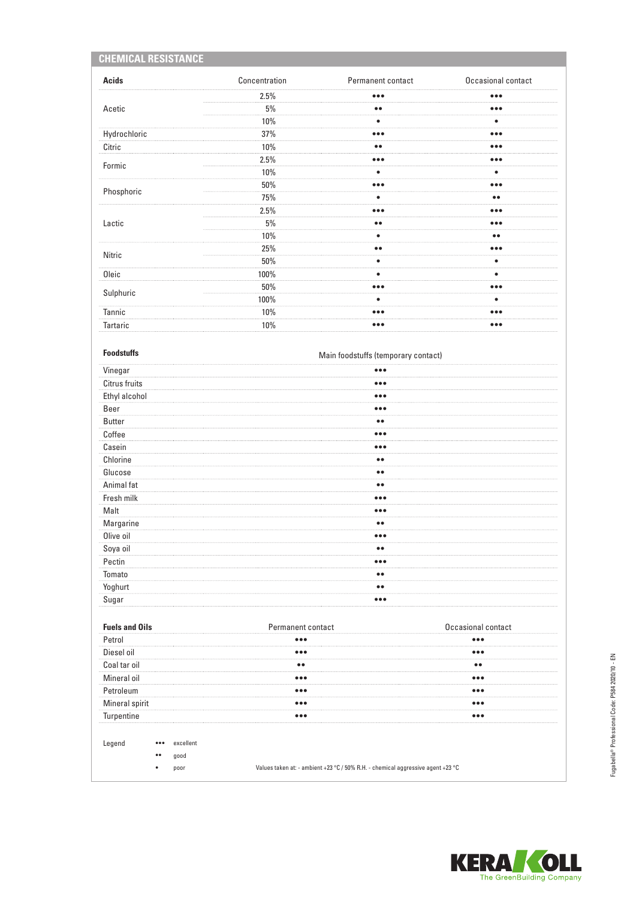| <b>CHEMICAL RESISTANCE</b> |               |                                     |                           |
|----------------------------|---------------|-------------------------------------|---------------------------|
| <b>Acids</b>               | Concentration | Permanent contact                   | Occasional contact        |
| Acetic                     | 2.5%          |                                     | $\bullet \bullet \bullet$ |
|                            | 5%            | $\bullet$                           | $\bullet\bullet\bullet$   |
|                            | 10%           | ä                                   | ٠                         |
| Hydrochloric               | 37%           | $\bullet\bullet\bullet$             | $\bullet\bullet\bullet$   |
| Citric                     | 10%           | $^{\bullet}$                        |                           |
| Formic                     | 2.5%          | $\bullet\bullet\bullet$             | $\bullet\bullet\bullet$   |
|                            | 10%           |                                     | ٠                         |
| Phosphoric                 | 50%           | $\bullet\bullet\bullet$             | $\bullet\bullet\bullet$   |
|                            | 75%           | ٠                                   | $\bullet\bullet$          |
|                            | 2.5%          | $\bullet\bullet\bullet$             | $\bullet\bullet\bullet$   |
| Lactic                     | 5%            | $\bullet\bullet$                    | $\bullet\bullet\bullet$   |
|                            | 10%           |                                     | $\bullet$                 |
| Nitric                     | 25%           | $\bullet\bullet$                    | $\bullet\bullet\bullet$   |
|                            | 50%           | ٠                                   | $\bullet$                 |
| Oleic                      | 100%          | ٠                                   | ٠                         |
|                            | 50%           | $\bullet\bullet\bullet$             |                           |
| Sulphuric                  | 100%          |                                     | ٠                         |
| Tannic                     | 10%           |                                     | • • •                     |
| Tartaric                   | 10%           | $\bullet\bullet\bullet$             | $\bullet\bullet\bullet$   |
| <b>Foodstuffs</b>          |               | Main foodstuffs (temporary contact) |                           |
| Vinegar                    |               |                                     |                           |
| Citrus fruits              |               |                                     |                           |
| Ethyl alcohol              |               |                                     |                           |
| Beer                       |               | $\bullet\bullet\bullet$             |                           |

| Ethyl alconol | $\bullet\bullet\bullet$ |
|---------------|-------------------------|
| Beer          | $\bullet\bullet\bullet$ |
| Butter        | $\bullet$               |
| Coffee        |                         |
| Casein        | $\bullet\bullet\bullet$ |
| Chlorine      | $\bullet\bullet$        |
| Glucose       | $^{\bullet}$            |
| Animal fat    | $\bullet$               |
| Fresh milk    | $\bullet\bullet\bullet$ |
| Malt          | $\bullet\bullet\bullet$ |
| Margarine     | $\bullet\bullet$        |
| Olive oil     |                         |
| Soya oil      | $\bullet\bullet$        |
| Pectin        | $\bullet\bullet\bullet$ |
| Tomato        | $\bullet\bullet$        |
| Yoghurt       | $\bullet$               |
| Sugar         |                         |
|               |                         |

| <b>Fuels and Oils</b> |   |           | Permanent contact                                                               | Occasional contact  |
|-----------------------|---|-----------|---------------------------------------------------------------------------------|---------------------|
| Petrol                |   |           |                                                                                 |                     |
| Diesel oil            |   |           |                                                                                 |                     |
| Coal tar oil          |   |           | $^{\bullet}$                                                                    | $\bullet$ $\bullet$ |
| Mineral oil           |   |           | $\bullet\bullet\bullet$                                                         | .                   |
| Petroleum             |   |           | $\bullet\bullet\bullet$                                                         |                     |
| Mineral spirit        |   |           | • • •                                                                           |                     |
| Turpentine            |   |           | • • •                                                                           |                     |
|                       |   |           |                                                                                 |                     |
|                       | ٠ | excellent |                                                                                 |                     |
|                       |   | aood      |                                                                                 |                     |
|                       |   | poor      | Values taken at: - ambient +23 °C / 50% R.H. - chemical aggressive agent +23 °C |                     |
|                       |   |           |                                                                                 |                     |